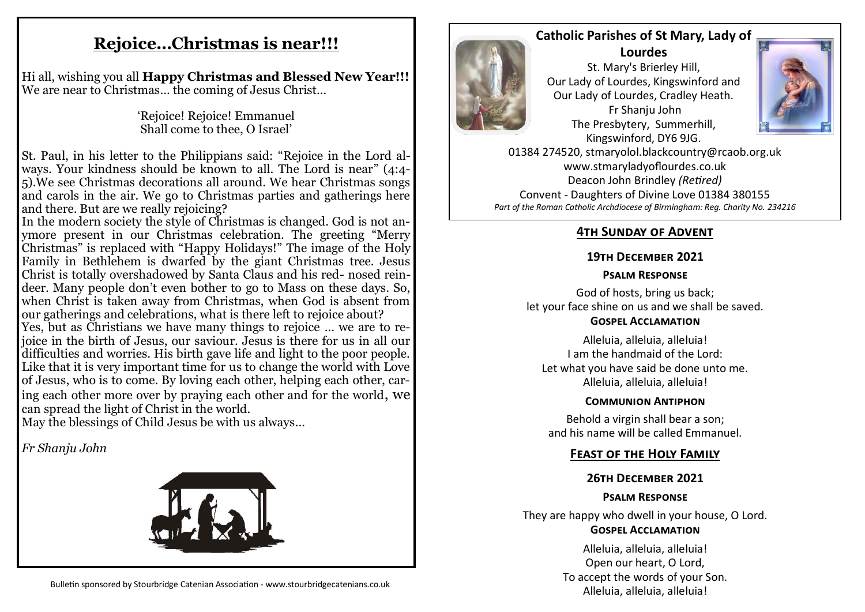# **Rejoice…Christmas is near!!!**

Hi all, wishing you all **Happy Christmas and Blessed New Year!!!** We are near to Christmas… the coming of Jesus Christ…

> 'Rejoice! Rejoice! Emmanuel Shall come to thee, O Israel'

St. Paul, in his letter to the Philippians said: "Rejoice in the Lord always. Your kindness should be known to all. The Lord is near" (4:4- 5).We see Christmas decorations all around. We hear Christmas songs and carols in the air. We go to Christmas parties and gatherings here and there. But are we really rejoicing?

In the modern society the style of Christmas is changed. God is not anymore present in our Christmas celebration. The greeting "Merry Christmas" is replaced with "Happy Holidays!" The image of the Holy Family in Bethlehem is dwarfed by the giant Christmas tree. Jesus Christ is totally overshadowed by Santa Claus and his red- nosed reindeer. Many people don't even bother to go to Mass on these days. So, when Christ is taken away from Christmas, when God is absent from our gatherings and celebrations, what is there left to rejoice about?

Yes, but as Christians we have many things to rejoice … we are to rejoice in the birth of Jesus, our saviour. Jesus is there for us in all our difficulties and worries. His birth gave life and light to the poor people. Like that it is very important time for us to change the world with Love of Jesus, who is to come. By loving each other, helping each other, caring each other more over by praying each other and for the world, we can spread the light of Christ in the world.

May the blessings of Child Jesus be with us always…

*Fr Shanju John*





## **Catholic Parishes of St Mary, Lady of**

**Lourdes**  St. Mary's Brierley Hill, Our Lady of Lourdes, Kingswinford and Our Lady of Lourdes, Cradley Heath. Fr Shanju John The Presbytery, Summerhill, Kingswinford, DY6 9JG.



01384 274520, stmaryolol.blackcountry@rcaob.org.uk www.stmaryladyoflourdes.co.uk Deacon John Brindley *(Retired)* Convent - Daughters of Divine Love 01384 380155 *Part of the Roman Catholic Archdiocese of Birmingham: Reg. Charity No. 234216*

## **4th Sunday of Advent**

#### **19th December 2021**

#### **Psalm Response**

God of hosts, bring us back; let your face shine on us and we shall be saved. **Gospel Acclamation**

Alleluia, alleluia, alleluia! I am the handmaid of the Lord: Let what you have said be done unto me. Alleluia, alleluia, alleluia!

#### **Communion Antiphon**

Behold a virgin shall bear a son; and his name will be called Emmanuel.

## **Feast of the Holy Family**

#### **26th December 2021**

#### **Psalm Response**

They are happy who dwell in your house, O Lord. **Gospel Acclamation**

> Alleluia, alleluia, alleluia! Open our heart, O Lord, To accept the words of your Son. Alleluia, alleluia, alleluia!